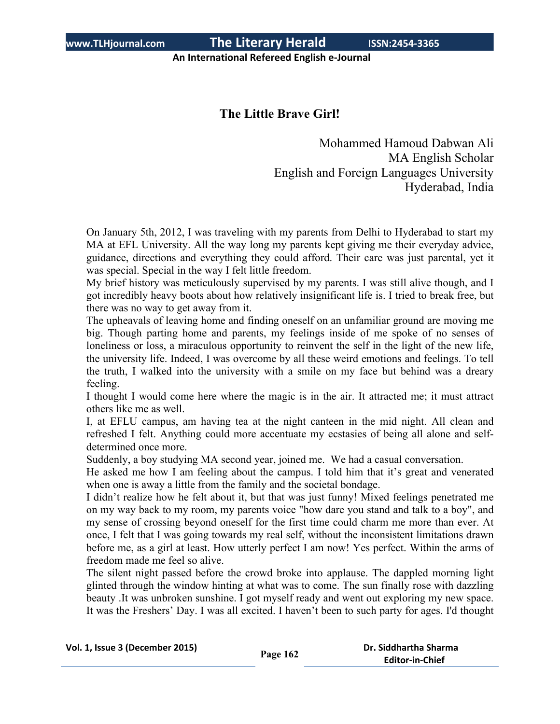**www.TLHjournal.com The Literary Herald ISSN:2454-3365**

**An International Refereed English e-Journal**

# **The Little Brave Girl!**

Mohammed Hamoud Dabwan Ali MA English Scholar English and Foreign Languages University Hyderabad, India

On January 5th, 2012, I was traveling with my parents from Delhi to Hyderabad to start my MA at EFL University. All the way long my parents kept giving me their everyday advice, guidance, directions and everything they could afford. Their care was just parental, yet it was special. Special in the way I felt little freedom.

My brief history was meticulously supervised by my parents. I was still alive though, and I got incredibly heavy boots about how relatively insignificant life is. I tried to break free, but there was no way to get away from it.

The upheavals of leaving home and finding oneself on an unfamiliar ground are moving me big. Though parting home and parents, my feelings inside of me spoke of no senses of loneliness or loss, a miraculous opportunity to reinvent the self in the light of the new life, the university life. Indeed, I was overcome by all these weird emotions and feelings. To tell the truth, I walked into the university with a smile on my face but behind was a dreary feeling.

I thought I would come here where the magic is in the air. It attracted me; it must attract others like me as well.

I, at EFLU campus, am having tea at the night canteen in the mid night. All clean and refreshed I felt. Anything could more accentuate my ecstasies of being all alone and selfdetermined once more.

Suddenly, a boy studying MA second year, joined me. We had a casual conversation.

He asked me how I am feeling about the campus. I told him that it's great and venerated when one is away a little from the family and the societal bondage.

I didn't realize how he felt about it, but that was just funny! Mixed feelings penetrated me on my way back to my room, my parents voice "how dare you stand and talk to a boy", and my sense of crossing beyond oneself for the first time could charm me more than ever. At once, I felt that I was going towards my real self, without the inconsistent limitations drawn before me, as a girl at least. How utterly perfect I am now! Yes perfect. Within the arms of freedom made me feel so alive.

The silent night passed before the crowd broke into applause. The dappled morning light glinted through the window hinting at what was to come. The sun finally rose with dazzling beauty .It was unbroken sunshine. I got myself ready and went out exploring my new space. It was the Freshers' Day. I was all excited. I haven't been to such party for ages. I'd thought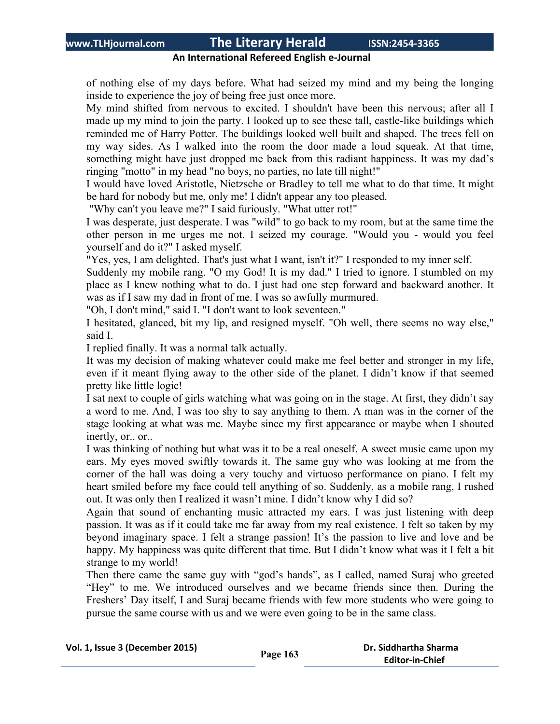## **www.TLHjournal.com The Literary Herald ISSN:2454-3365**

#### **An International Refereed English e-Journal**

of nothing else of my days before. What had seized my mind and my being the longing inside to experience the joy of being free just once more.

My mind shifted from nervous to excited. I shouldn't have been this nervous; after all I made up my mind to join the party. I looked up to see these tall, castle-like buildings which reminded me of Harry Potter. The buildings looked well built and shaped. The trees fell on my way sides. As I walked into the room the door made a loud squeak. At that time, something might have just dropped me back from this radiant happiness. It was my dad's ringing "motto" in my head "no boys, no parties, no late till night!"

I would have loved Aristotle, Nietzsche or Bradley to tell me what to do that time. It might be hard for nobody but me, only me! I didn't appear any too pleased.

"Why can't you leave me?" I said furiously. "What utter rot!"

I was desperate, just desperate. I was "wild" to go back to my room, but at the same time the other person in me urges me not. I seized my courage. "Would you - would you feel yourself and do it?" I asked myself.

"Yes, yes, I am delighted. That's just what I want, isn't it?" I responded to my inner self.

Suddenly my mobile rang. "O my God! It is my dad." I tried to ignore. I stumbled on my place as I knew nothing what to do. I just had one step forward and backward another. It was as if I saw my dad in front of me. I was so awfully murmured.

"Oh, I don't mind," said I. "I don't want to look seventeen."

I hesitated, glanced, bit my lip, and resigned myself. "Oh well, there seems no way else," said I.

I replied finally. It was a normal talk actually.

It was my decision of making whatever could make me feel better and stronger in my life, even if it meant flying away to the other side of the planet. I didn't know if that seemed pretty like little logic!

I sat next to couple of girls watching what was going on in the stage. At first, they didn't say a word to me. And, I was too shy to say anything to them. A man was in the corner of the stage looking at what was me. Maybe since my first appearance or maybe when I shouted inertly, or.. or..

I was thinking of nothing but what was it to be a real oneself. A sweet music came upon my ears. My eyes moved swiftly towards it. The same guy who was looking at me from the corner of the hall was doing a very touchy and virtuoso performance on piano. I felt my heart smiled before my face could tell anything of so. Suddenly, as a mobile rang, I rushed out. It was only then I realized it wasn't mine. I didn't know why I did so?

Again that sound of enchanting music attracted my ears. I was just listening with deep passion. It was as if it could take me far away from my real existence. I felt so taken by my beyond imaginary space. I felt a strange passion! It's the passion to live and love and be happy. My happiness was quite different that time. But I didn't know what was it I felt a bit strange to my world!

Then there came the same guy with "god's hands", as I called, named Suraj who greeted "Hey" to me. We introduced ourselves and we became friends since then. During the Freshers' Day itself, I and Suraj became friends with few more students who were going to pursue the same course with us and we were even going to be in the same class.

| Vol. 1, Issue 3 (December 2015) | Page 163 | Dr. Siddhartha Sharma  |
|---------------------------------|----------|------------------------|
|                                 |          | <b>Editor-in-Chief</b> |